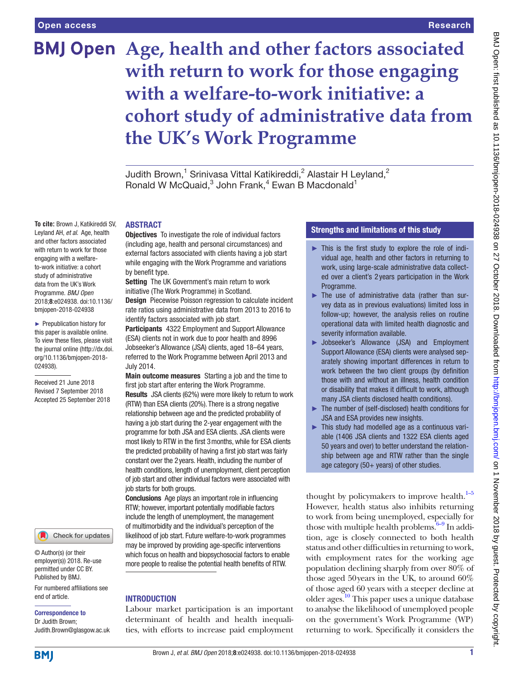**To cite:** Brown J, Katikireddi SV, Leyland AH, *et al*. Age, health and other factors associated with return to work for those engaging with a welfareto-work initiative: a cohort study of administrative data from the UK's Work Programme. *BMJ Open* 2018;8:e024938. doi:10.1136/ bmjopen-2018-024938 ► Prepublication history for this paper is available online. To view these files, please visit the journal online [\(http://dx.doi.](http://dx.doi.org/10.1136/bmjopen-2018-024938) [org/10.1136/bmjopen-2018-](http://dx.doi.org/10.1136/bmjopen-2018-024938)

# **BMJ Open** Age, health and other factors associated **with return to work for those engaging with a welfare-to-work initiative: a cohort study of administrative data from the UK's Work Programme**

Judith Brown,<sup>1</sup> Srinivasa Vittal Katikireddi,<sup>2</sup> Alastair H Leyland,<sup>2</sup> Ronald W McQuaid, $3$  John Frank, $4$  Ewan B Macdonald<sup>1</sup>

#### **ABSTRACT**

**Objectives** To investigate the role of individual factors (including age, health and personal circumstances) and external factors associated with clients having a job start while engaging with the Work Programme and variations by benefit type.

Setting The UK Government's main return to work initiative (The Work Programme) in Scotland.

**Design** Piecewise Poisson regression to calculate incident rate ratios using administrative data from 2013 to 2016 to identify factors associated with job start.

Participants 4322 Employment and Support Allowance (ESA) clients not in work due to poor health and 8996 Jobseeker's Allowance (JSA) clients, aged 18–64 years, referred to the Work Programme between April 2013 and July 2014.

Main outcome measures Starting a job and the time to first job start after entering the Work Programme. Results JSA clients (62%) were more likely to return to work (RTW) than ESA clients (20%). There is a strong negative relationship between age and the predicted probability of having a job start during the 2-year engagement with the programme for both JSA and ESA clients. JSA clients were most likely to RTW in the first 3months, while for ESA clients the predicted probability of having a first job start was fairly constant over the 2years. Health, including the number of health conditions, length of unemployment, client perception of job start and other individual factors were associated with job starts for both groups.

Conclusions Age plays an important role in influencing RTW; however, important potentially modifiable factors include the length of unemployment, the management of multimorbidity and the individual's perception of the likelihood of job start. Future welfare-to-work programmes may be improved by providing age-specific interventions which focus on health and biopsychosocial factors to enable more people to realise the potential health benefits of RTW.

### **INTRODUCTION**

Labour market participation is an important determinant of health and health inequalities, with efforts to increase paid employment

# Strengths and limitations of this study

- $\blacktriangleright$  This is the first study to explore the role of individual age, health and other factors in returning to work, using large-scale administrative data collected over a client's 2 years participation in the Work Programme.
- ► The use of administrative data (rather than survey data as in previous evaluations) limited loss in follow-up; however, the analysis relies on routine operational data with limited health diagnostic and severity information available.
- ► Jobseeker's Allowance (JSA) and Employment Support Allowance (ESA) clients were analysed separately showing important differences in return to work between the two client groups (by definition those with and without an illness, health condition or disability that makes it difficult to work, although many JSA clients disclosed health conditions).
- ► The number of (self-disclosed) health conditions for JSA and ESA provides new insights.
- This study had modelled age as a continuous variable (1406 JSA clients and 1322 ESA clients aged 50 years and over) to better understand the relationship between age and RTW rather than the single age category  $(50 + \text{years})$  of other studies.

thought by policymakers to improve health. $1-5$ However, health status also inhibits returning to work from being unemployed, especially for those with multiple health problems. $6-9$  In addition, age is closely connected to both health status and other difficulties in returning to work, with employment rates for the working age population declining sharply from over 80% of those aged 50years in the UK, to around 60% of those aged 60 years with a steeper decline at older ages[.10](#page-12-2) This paper uses a unique database to analyse the likelihood of unemployed people on the government's Work Programme (WP) returning to work. Specifically it considers the

# **BMI**

end of article.

Correspondence to Dr Judith Brown;

© Author(s) (or their employer(s)) 2018. Re-use permitted under CC BY. Published by BMJ.

For numbered affiliations see

Check for updates

Judith.Brown@glasgow.ac.uk

[024938\)](http://dx.doi.org/10.1136/bmjopen-2018-024938).

Received 21 June 2018 Revised 7 September 2018 Accepted 25 September 2018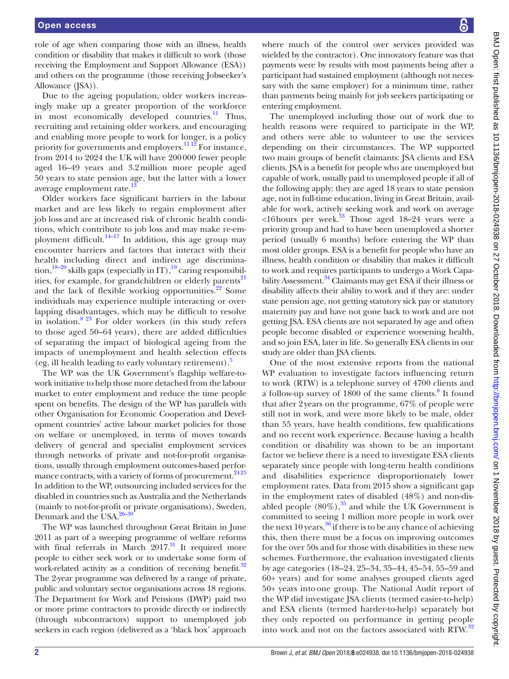role of age when comparing those with an illness, health condition or disability that makes it difficult to work (those receiving the Employment and Support Allowance (ESA)) and others on the programme (those receiving Jobseeker's Allowance (JSA)).

Due to the ageing population, older workers increasingly make up a greater proportion of the workforce in most economically developed countries.<sup>11</sup> Thus, recruiting and retaining older workers, and encouraging and enabling more people to work for longer, is a policy priority for governments and employers.<sup>1112</sup> For instance, from 2014 to 2024 the UK will have 200000 fewer people aged 16–49 years and 3.2million more people aged 50 years to state pension age, but the latter with a lower average employment rate.<sup>1</sup>

Older workers face significant barriers in the labour market and are less likely to regain employment after job loss and are at increased risk of chronic health conditions, which contribute to job loss and may make re-employment difficult.<sup>14–17</sup> In addition, this age group may encounter barriers and factors that interact with their health including direct and indirect age discrimination,<sup>18–20</sup> skills gaps (especially in IT),<sup>19</sup> caring responsibilities, for example, for grandchildren or elderly parents<sup>21</sup> and the lack of flexible working opportunities. $22$  Some individuals may experience multiple interacting or overlapping disadvantages, which may be difficult to resolve in isolation.[8 23](#page-12-4) For older workers (in this study refers to those aged 50–64 years), there are added difficulties of separating the impact of biological ageing from the impacts of unemployment and health selection effects (eg, ill health leading to early voluntary retirement). $5$ 

The WP was the UK Government's flagship welfare-towork initiative to help those more detached from the labour market to enter employment and reduce the time people spent on benefits. The design of the WP has parallels with other Organisation for Economic Cooperation and Development countries' active labour market policies for those on welfare or unemployed, in terms of moves towards delivery of general and specialist employment services through networks of private and not-for-profit organisations, usually through employment outcomes-based performance contracts, with a variety of forms of procurement.<sup>2425</sup> In addition to the WP, outsourcing included services for the disabled in countries such as Australia and the Netherlands (mainly to not-for-profit or private organisations), Sweden, Denmark and the USA.<sup>26-30</sup>

The WP was launched throughout Great Britain in June 2011 as part of a sweeping programme of welfare reforms with final referrals in March  $2017<sup>31</sup>$  $2017<sup>31</sup>$  $2017<sup>31</sup>$  It required more people to either seek work or to undertake some form of work-related activity as a condition of receiving benefit.<sup>[32](#page-13-9)</sup> The 2-year programme was delivered by a range of private, public and voluntary sector organisations across 18 regions. The Department for Work and Pensions (DWP) paid two or more prime contractors to provide directly or indirectly (through subcontractors) support to unemployed job seekers in each region (delivered as a 'black box' approach

where much of the control over services provided was wielded by the contractor). One innovatory feature was that payments were by results with most payments being after a participant had sustained employment (although not necessary with the same employer) for a minimum time, rather than payments being mainly for job seekers participating or entering employment.

The unemployed including those out of work due to health reasons were required to participate in the WP, and others were able to volunteer to use the services depending on their circumstances. The WP supported two main groups of benefit claimants: JSA clients and ESA clients. JSA is a benefit for people who are unemployed but capable of work, usually paid to unemployed people if all of the following apply: they are aged 18 years to state pension age, not in full-time education, living in Great Britain, available for work, actively seeking work and work on average  $\leq$ 16 hours per week.<sup>[33](#page-13-10)</sup> Those aged 18–24 years were a priority group and had to have been unemployed a shorter period (usually 6 months) before entering the WP than most older groups. ESA is a benefit for people who have an illness, health condition or disability that makes it difficult to work and requires participants to undergo a Work Capability Assessment.<sup>34</sup> Claimants may get ESA if their illness or disability affects their ability to work and if they are: under state pension age, not getting statutory sick pay or statutory maternity pay and have not gone back to work and are not getting JSA. ESA clients are not separated by age and often people become disabled or experience worsening health, and so join ESA, later in life. So generally ESA clients in our study are older than JSA clients.

One of the most extensive reports from the national WP evaluation to investigate factors influencing return to work (RTW) is a telephone survey of 4700 clients and a follow-up survey of 1800 of the same clients.<sup>8</sup> It found that after 2years on the programme, 67% of people were still not in work, and were more likely to be male, older than 55 years, have health conditions, few qualifications and no recent work experience. Because having a health condition or disability was shown to be an important factor we believe there is a need to investigate ESA clients separately since people with long-term health conditions and disabilities experience disproportionately lower employment rates. Data from 2015 show a significant gap in the employment rates of disabled (48%) and non-disabled people  $(80\%)$ ,<sup>[35](#page-13-12)</sup> and while the UK Government is committed to seeing 1 million more people in work over the next 10 years,  $36$  if there is to be any chance of achieving this, then there must be a focus on improving outcomes for the over 50s and for those with disabilities in these new schemes. Furthermore, the evaluation investigated clients by age categories (18–24, 25–34, 35–44, 45–54, 55–59 and 60+ years) and for some analyses grouped clients aged 50+ years intoone group. The National Audit report of the WP did investigate JSA clients (termed easier-to-help) and ESA clients (termed harder-to-help) separately but they only reported on performance in getting people into work and not on the factors associated with RTW.<sup>[32](#page-13-9)</sup>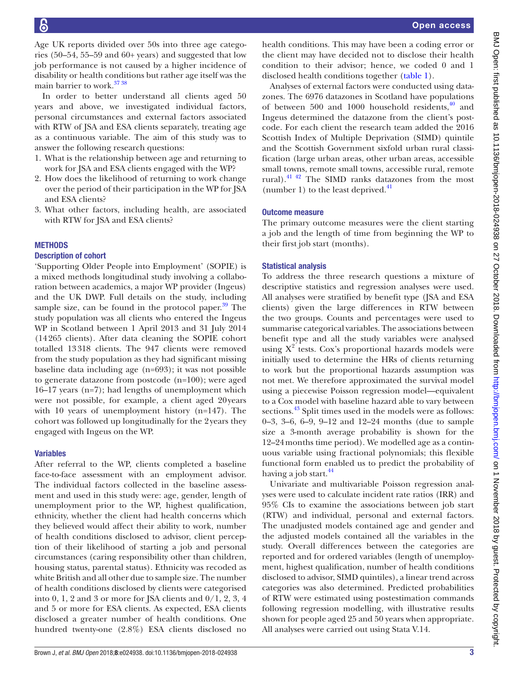Age UK reports divided over 50s into three age categories (50–54, 55–59 and 60+ years) and suggested that low job performance is not caused by a higher incidence of

main barrier to work.<sup>37 38</sup> In order to better understand all clients aged 50 years and above, we investigated individual factors, personal circumstances and external factors associated with RTW of JSA and ESA clients separately, treating age as a continuous variable. The aim of this study was to answer the following research questions:

disability or health conditions but rather age itself was the

- 1. What is the relationship between age and returning to work for JSA and ESA clients engaged with the WP?
- 2. How does the likelihood of returning to work change over the period of their participation in the WP for JSA and ESA clients?
- 3. What other factors, including health, are associated with RTW for JSA and ESA clients?

# **METHODS**

#### Description of cohort

'Supporting Older People into Employment' (SOPIE) is a mixed methods longitudinal study involving a collaboration between academics, a major WP provider (Ingeus) and the UK DWP. Full details on the study, including sample size, can be found in the protocol paper. $39$  The study population was all clients who entered the Ingeus WP in Scotland between 1 April 2013 and 31 July 2014 (14265 clients). After data cleaning the SOPIE cohort totalled 13318 clients. The 947 clients were removed from the study population as they had significant missing baseline data including age (n=693); it was not possible to generate datazone from postcode (n=100); were aged 16–17 years (n=7); had lengths of unemployment which were not possible, for example, a client aged 20years with 10 years of unemployment history (n=147). The cohort was followed up longitudinally for the 2years they engaged with Ingeus on the WP.

#### Variables

After referral to the WP, clients completed a baseline face-to-face assessment with an employment advisor. The individual factors collected in the baseline assessment and used in this study were: age, gender, length of unemployment prior to the WP, highest qualification, ethnicity, whether the client had health concerns which they believed would affect their ability to work, number of health conditions disclosed to advisor, client perception of their likelihood of starting a job and personal circumstances (caring responsibility other than children, housing status, parental status). Ethnicity was recoded as white British and all other due to sample size. The number of health conditions disclosed by clients were categorised into 0, 1, 2 and 3 or more for JSA clients and  $0/1$ , 2, 3, 4 and 5 or more for ESA clients. As expected, ESA clients disclosed a greater number of health conditions. One hundred twenty-one (2.8%) ESA clients disclosed no

health conditions. This may have been a coding error or the client may have decided not to disclose their health condition to their advisor; hence, we coded 0 and 1 disclosed health conditions together [\(table](#page-3-0) 1).

Analyses of external factors were conducted using datazones. The 6976 datazones in Scotland have populations of between 500 and 1000 household residents, $40$  and Ingeus determined the datazone from the client's postcode. For each client the research team added the 2016 Scottish Index of Multiple Deprivation (SIMD) quintile and the Scottish Government sixfold urban rural classification (large urban areas, other urban areas, accessible small towns, remote small towns, accessible rural, remote rural). $^{41}$   $^{42}$  The SIMD ranks datazones from the most (number 1) to the least deprived. $41$ 

#### Outcome measure

The primary outcome measures were the client starting a job and the length of time from beginning the WP to their first job start (months).

### Statistical analysis

To address the three research questions a mixture of descriptive statistics and regression analyses were used. All analyses were stratified by benefit type (JSA and ESA clients) given the large differences in RTW between the two groups. Counts and percentages were used to summarise categorical variables. The associations between benefit type and all the study variables were analysed using  $X^2$  tests. Cox's proportional hazards models were initially used to determine the HRs of clients returning to work but the proportional hazards assumption was not met. We therefore approximated the survival model using a piecewise Poisson regression model—equivalent to a Cox model with baseline hazard able to vary between sections.<sup>43</sup> Split times used in the models were as follows: 0–3, 3–6, 6–9, 9–12 and 12–24 months (due to sample size a 3-month average probability is shown for the 12–24months time period). We modelled age as a continuous variable using fractional polynomials; this flexible functional form enabled us to predict the probability of having a job start.<sup>[44](#page-13-19)</sup>

Univariate and multivariable Poisson regression analyses were used to calculate incident rate ratios (IRR) and 95% CIs to examine the associations between job start (RTW) and individual, personal and external factors. The unadjusted models contained age and gender and the adjusted models contained all the variables in the study. Overall differences between the categories are reported and for ordered variables (length of unemployment, highest qualification, number of health conditions disclosed to advisor, SIMD quintiles), a linear trend across categories was also determined. Predicted probabilities of RTW were estimated using postestimation commands following regression modelling, with illustrative results shown for people aged 25 and 50 years when appropriate. All analyses were carried out using Stata V.14.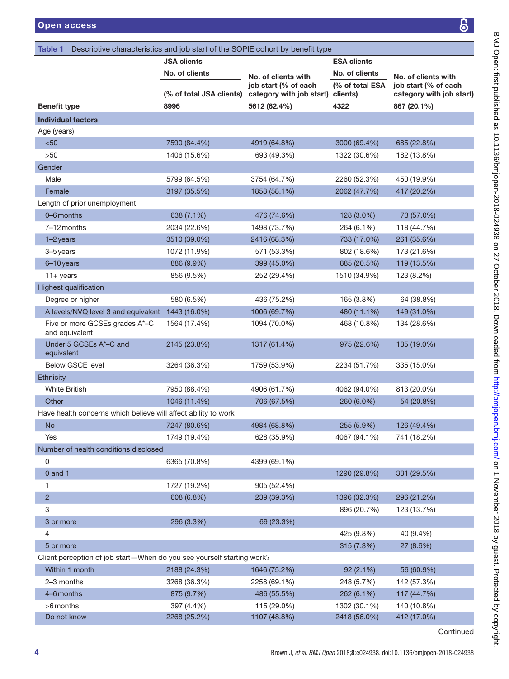<span id="page-3-0"></span>

| Descriptive characteristics and job start of the SOPIE cohort by benefit type<br>Table 1 |                          |                                                  |                             |                                                  |  |  |
|------------------------------------------------------------------------------------------|--------------------------|--------------------------------------------------|-----------------------------|--------------------------------------------------|--|--|
|                                                                                          | <b>JSA clients</b>       |                                                  | <b>ESA clients</b>          |                                                  |  |  |
|                                                                                          | No. of clients           | No. of clients with                              | No. of clients              | No. of clients with                              |  |  |
|                                                                                          | (% of total JSA clients) | job start (% of each<br>category with job start) | (% of total ESA<br>clients) | job start (% of each<br>category with job start) |  |  |
| <b>Benefit type</b>                                                                      | 8996                     | 5612 (62.4%)                                     | 4322                        | 867 (20.1%)                                      |  |  |
| <b>Individual factors</b>                                                                |                          |                                                  |                             |                                                  |  |  |
| Age (years)                                                                              |                          |                                                  |                             |                                                  |  |  |
| < 50                                                                                     | 7590 (84.4%)             | 4919 (64.8%)                                     | 3000 (69.4%)                | 685 (22.8%)                                      |  |  |
| >50                                                                                      | 1406 (15.6%)             | 693 (49.3%)                                      | 1322 (30.6%)                | 182 (13.8%)                                      |  |  |
| Gender                                                                                   |                          |                                                  |                             |                                                  |  |  |
| Male                                                                                     | 5799 (64.5%)             | 3754 (64.7%)                                     | 2260 (52.3%)                | 450 (19.9%)                                      |  |  |
| Female                                                                                   | 3197 (35.5%)             | 1858 (58.1%)                                     | 2062 (47.7%)                | 417 (20.2%)                                      |  |  |
| Length of prior unemployment                                                             |                          |                                                  |                             |                                                  |  |  |
| 0-6 months                                                                               | 638 (7.1%)               | 476 (74.6%)                                      | 128 (3.0%)                  | 73 (57.0%)                                       |  |  |
| 7–12 months                                                                              | 2034 (22.6%)             | 1498 (73.7%)                                     | 264 (6.1%)                  | 118 (44.7%)                                      |  |  |
| $1-2$ years                                                                              | 3510 (39.0%)             | 2416 (68.3%)                                     | 733 (17.0%)                 | 261 (35.6%)                                      |  |  |
| 3-5 years                                                                                | 1072 (11.9%)             | 571 (53.3%)                                      | 802 (18.6%)                 | 173 (21.6%)                                      |  |  |
| 6-10 years                                                                               | 886 (9.9%)               | 399 (45.0%)                                      | 885 (20.5%)                 | 119 (13.5%)                                      |  |  |
| $11 + years$                                                                             | 856 (9.5%)               | 252 (29.4%)                                      | 1510 (34.9%)                | 123 (8.2%)                                       |  |  |
| <b>Highest qualification</b>                                                             |                          |                                                  |                             |                                                  |  |  |
| Degree or higher                                                                         | 580 (6.5%)               | 436 (75.2%)                                      | 165 (3.8%)                  | 64 (38.8%)                                       |  |  |
| A levels/NVQ level 3 and equivalent 1443 (16.0%)                                         |                          | 1006 (69.7%)                                     | 480 (11.1%)                 | 149 (31.0%)                                      |  |  |
| Five or more GCSEs grades A*-C<br>and equivalent                                         | 1564 (17.4%)             | 1094 (70.0%)                                     | 468 (10.8%)                 | 134 (28.6%)                                      |  |  |
| Under 5 GCSEs A*-C and<br>equivalent                                                     | 2145 (23.8%)             | 1317 (61.4%)                                     | 975 (22.6%)                 | 185 (19.0%)                                      |  |  |
| <b>Below GSCE level</b>                                                                  | 3264 (36.3%)             | 1759 (53.9%)                                     | 2234 (51.7%)                | 335 (15.0%)                                      |  |  |
| Ethnicity                                                                                |                          |                                                  |                             |                                                  |  |  |
| <b>White British</b>                                                                     | 7950 (88.4%)             | 4906 (61.7%)                                     | 4062 (94.0%)                | 813 (20.0%)                                      |  |  |
| Other                                                                                    | 1046 (11.4%)             | 706 (67.5%)                                      | 260 (6.0%)                  | 54 (20.8%)                                       |  |  |
| Have health concerns which believe will affect ability to work                           |                          |                                                  |                             |                                                  |  |  |
| No                                                                                       | 7247 (80.6%)             | 4984 (68.8%)                                     | 255 (5.9%)                  | 126 (49.4%)                                      |  |  |
| Yes                                                                                      | 1749 (19.4%)             | 628 (35.9%)                                      | 4067 (94.1%)                | 741 (18.2%)                                      |  |  |
| Number of health conditions disclosed                                                    |                          |                                                  |                             |                                                  |  |  |
| 0                                                                                        | 6365 (70.8%)             | 4399 (69.1%)                                     |                             |                                                  |  |  |
| $0$ and $1$                                                                              |                          |                                                  | 1290 (29.8%)                | 381 (29.5%)                                      |  |  |
| 1                                                                                        | 1727 (19.2%)             | 905 (52.4%)                                      |                             |                                                  |  |  |
| $\overline{2}$                                                                           | 608 (6.8%)               | 239 (39.3%)                                      | 1396 (32.3%)                | 296 (21.2%)                                      |  |  |
| 3                                                                                        |                          |                                                  | 896 (20.7%)                 | 123 (13.7%)                                      |  |  |
| 3 or more                                                                                | 296 (3.3%)               | 69 (23.3%)                                       |                             |                                                  |  |  |
| 4                                                                                        |                          |                                                  | 425 (9.8%)                  | 40 (9.4%)                                        |  |  |
| 5 or more                                                                                |                          |                                                  | 315 (7.3%)                  | 27 (8.6%)                                        |  |  |
| Client perception of job start-When do you see yourself starting work?                   |                          |                                                  |                             |                                                  |  |  |
| Within 1 month                                                                           | 2188 (24.3%)             | 1646 (75.2%)                                     | 92 (2.1%)                   | 56 (60.9%)                                       |  |  |
| 2-3 months                                                                               | 3268 (36.3%)             | 2258 (69.1%)                                     | 248 (5.7%)                  | 142 (57.3%)                                      |  |  |
| 4-6 months                                                                               | 875 (9.7%)               | 486 (55.5%)                                      | 262 (6.1%)                  | 117 (44.7%)                                      |  |  |
| >6 months                                                                                | 397 (4.4%)               | 115 (29.0%)                                      | 1302 (30.1%)                | 140 (10.8%)                                      |  |  |
| Do not know                                                                              | 2268 (25.2%)             | 1107 (48.8%)                                     | 2418 (56.0%)                | 412 (17.0%)                                      |  |  |

**Continued** 

BMJ Open: first published as 10.1136/bmjopen-2018-024938 on 27 October 2018. Downloaded from http://bmjopen.bmj.com/ on 1 November 2018 by guest. Protected by copyright. BMJ Open: first published as 10.1136/bmjopen-2018-0218 on 27 October 2018. Downloaded from <http://bmjopen.bmj.com/> on 11 Novemed as 10.1415/bmjopen. Protected by copyright.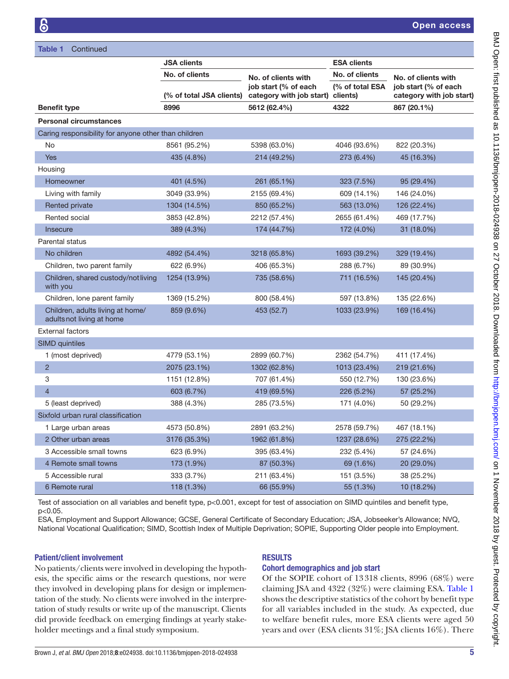| Table 1<br>Continued                                          |                          |                                                  |                             |                                                  |  |
|---------------------------------------------------------------|--------------------------|--------------------------------------------------|-----------------------------|--------------------------------------------------|--|
|                                                               | <b>JSA clients</b>       |                                                  | <b>ESA clients</b>          |                                                  |  |
|                                                               | No. of clients           | No. of clients with                              | No. of clients              | No. of clients with                              |  |
|                                                               | (% of total JSA clients) | job start (% of each<br>category with job start) | (% of total ESA<br>clients) | job start (% of each<br>category with job start) |  |
| <b>Benefit type</b>                                           | 8996                     | 5612 (62.4%)                                     | 4322                        | 867 (20.1%)                                      |  |
| <b>Personal circumstances</b>                                 |                          |                                                  |                             |                                                  |  |
| Caring responsibility for anyone other than children          |                          |                                                  |                             |                                                  |  |
| <b>No</b>                                                     | 8561 (95.2%)             | 5398 (63.0%)                                     | 4046 (93.6%)                | 822 (20.3%)                                      |  |
| <b>Yes</b>                                                    | 435 (4.8%)               | 214 (49.2%)                                      | 273 (6.4%)                  | 45 (16.3%)                                       |  |
| Housing                                                       |                          |                                                  |                             |                                                  |  |
| Homeowner                                                     | 401 (4.5%)               | 261 (65.1%)                                      | 323 (7.5%)                  | 95 (29.4%)                                       |  |
| Living with family                                            | 3049 (33.9%)             | 2155 (69.4%)                                     | 609 (14.1%)                 | 146 (24.0%)                                      |  |
| <b>Rented private</b>                                         | 1304 (14.5%)             | 850 (65.2%)                                      | 563 (13.0%)                 | 126 (22.4%)                                      |  |
| Rented social                                                 | 3853 (42.8%)             | 2212 (57.4%)                                     | 2655 (61.4%)                | 469 (17.7%)                                      |  |
| Insecure                                                      | 389 (4.3%)               | 174 (44.7%)                                      | 172 (4.0%)                  | 31 (18.0%)                                       |  |
| Parental status                                               |                          |                                                  |                             |                                                  |  |
| No children                                                   | 4892 (54.4%)             | 3218 (65.8%)                                     | 1693 (39.2%)                | 329 (19.4%)                                      |  |
| Children, two parent family                                   | 622 (6.9%)               | 406 (65.3%)                                      | 288 (6.7%)                  | 89 (30.9%)                                       |  |
| Children, shared custody/not living<br>with you               | 1254 (13.9%)             | 735 (58.6%)                                      | 711 (16.5%)                 | 145 (20.4%)                                      |  |
| Children, lone parent family                                  | 1369 (15.2%)             | 800 (58.4%)                                      | 597 (13.8%)                 | 135 (22.6%)                                      |  |
| Children, adults living at home/<br>adults not living at home | 859 (9.6%)               | 453 (52.7)                                       | 1033 (23.9%)                | 169 (16.4%)                                      |  |
| <b>External factors</b>                                       |                          |                                                  |                             |                                                  |  |
| <b>SIMD</b> quintiles                                         |                          |                                                  |                             |                                                  |  |
| 1 (most deprived)                                             | 4779 (53.1%)             | 2899 (60.7%)                                     | 2362 (54.7%)                | 411 (17.4%)                                      |  |
| $\overline{2}$                                                | 2075 (23.1%)             | 1302 (62.8%)                                     | 1013 (23.4%)                | 219 (21.6%)                                      |  |
| 3                                                             | 1151 (12.8%)             | 707 (61.4%)                                      | 550 (12.7%)                 | 130 (23.6%)                                      |  |
| $\overline{4}$                                                | 603 (6.7%)               | 419 (69.5%)                                      | 226 (5.2%)                  | 57 (25.2%)                                       |  |
| 5 (least deprived)                                            | 388 (4.3%)               | 285 (73.5%)                                      | 171 (4.0%)                  | 50 (29.2%)                                       |  |
| Sixfold urban rural classification                            |                          |                                                  |                             |                                                  |  |
| 1 Large urban areas                                           | 4573 (50.8%)             | 2891 (63.2%)                                     | 2578 (59.7%)                | 467 (18.1%)                                      |  |
| 2 Other urban areas                                           | 3176 (35.3%)             | 1962 (61.8%)                                     | 1237 (28.6%)                | 275 (22.2%)                                      |  |
| 3 Accessible small towns                                      | 623 (6.9%)               | 395 (63.4%)                                      | 232 (5.4%)                  | 57 (24.6%)                                       |  |
| 4 Remote small towns                                          | 173 (1.9%)               | 87 (50.3%)                                       | 69 (1.6%)                   | 20 (29.0%)                                       |  |
| 5 Accessible rural                                            | 333 (3.7%)               | 211 (63.4%)                                      | 151 (3.5%)                  | 38 (25.2%)                                       |  |
| 6 Remote rural                                                | 118 (1.3%)               | 66 (55.9%)                                       | 55 (1.3%)                   | 10 (18.2%)                                       |  |

Test of association on all variables and benefit type, p<0.001, except for test of association on SIMD quintiles and benefit type, p<0.05.

ESA, Employment and Support Allowance; GCSE, General Certificate of Secondary Education; JSA, Jobseeker's Allowance; NVQ, National Vocational Qualification; SIMD, Scottish Index of Multiple Deprivation; SOPIE, Supporting Older people into Employment.

### Patient/client involvement

No patients/clients were involved in developing the hypothesis, the specific aims or the research questions, nor were they involved in developing plans for design or implementation of the study. No clients were involved in the interpretation of study results or write up of the manuscript. Clients did provide feedback on emerging findings at yearly stakeholder meetings and a final study symposium.

# **RESULTS**

# Cohort demographics and job start

Of the SOPIE cohort of 13318 clients, 8996 (68%) were claiming JSA and 4322 (32%) were claiming ESA. [Table](#page-3-0) 1 shows the descriptive statistics of the cohort by benefit type for all variables included in the study. As expected, due to welfare benefit rules, more ESA clients were aged 50 years and over (ESA clients 31%; JSA clients 16%). There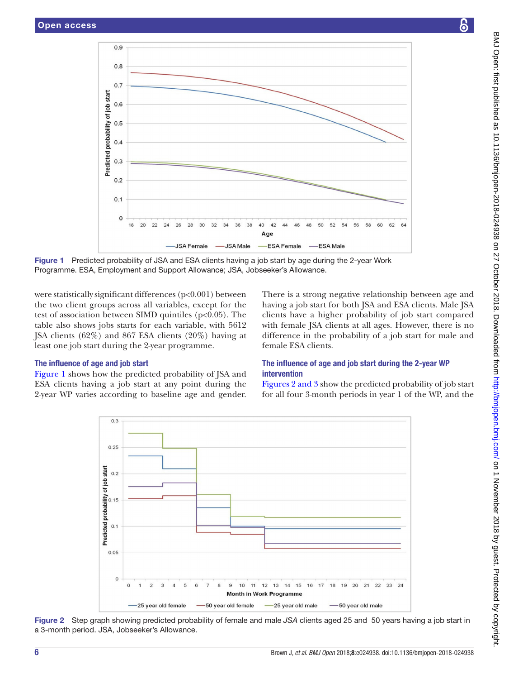

Figure 1 Predicted probability of JSA and ESA clients having a job start by age during the 2-year Work Programme. ESA, Employment and Support Allowance; JSA, Jobseeker's Allowance.

were statistically significant differences (p<0.001) between the two client groups across all variables, except for the test of association between SIMD quintiles (p<0.05). The table also shows jobs starts for each variable, with 5612 JSA clients (62%) and 867 ESA clients (20%) having at least one job start during the 2-year programme.

# The influence of age and job start

[Figure](#page-5-0) 1 shows how the predicted probability of JSA and ESA clients having a job start at any point during the 2-year WP varies according to baseline age and gender. <span id="page-5-0"></span>There is a strong negative relationship between age and having a job start for both JSA and ESA clients. Male JSA clients have a higher probability of job start compared with female JSA clients at all ages. However, there is no difference in the probability of a job start for male and female ESA clients.

# The influence of age and job start during the 2-year WP intervention

[Figures](#page-5-1) 2 and 3 show the predicted probability of job start for all four 3-month periods in year 1 of the WP, and the



<span id="page-5-1"></span>Figure 2 Step graph showing predicted probability of female and male *JSA* clients aged 25 and 50 years having a job start in a 3-month period. JSA, Jobseeker's Allowance.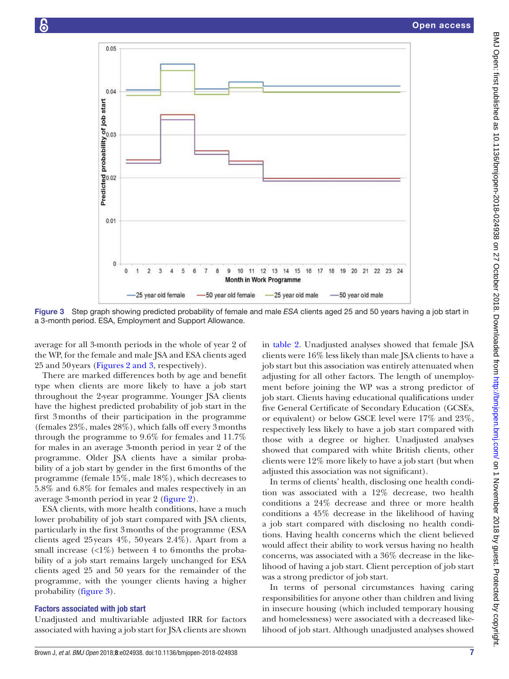

Figure 3 Step graph showing predicted probability of female and male *ESA* clients aged 25 and 50 years having a job start in a 3-month period. ESA, Employment and Support Allowance.

average for all 3-month periods in the whole of year 2 of the WP, for the female and male JSA and ESA clients aged 25 and 50years (Figures [2 and 3,](#page-5-1) respectively).

There are marked differences both by age and benefit type when clients are more likely to have a job start throughout the 2-year programme. Younger JSA clients have the highest predicted probability of job start in the first 3months of their participation in the programme (females 23%, males 28%), which falls off every 3months through the programme to 9.6% for females and 11.7% for males in an average 3-month period in year 2 of the programme. Older JSA clients have a similar probability of a job start by gender in the first 6months of the programme (female 15%, male 18%), which decreases to 5.8% and 6.8% for females and males respectively in an average 3-month period in year 2 [\(figure](#page-5-1) 2).

ESA clients, with more health conditions, have a much lower probability of job start compared with JSA clients, particularly in the first 3months of the programme (ESA clients aged 25years 4%, 50years 2.4%). Apart from a small increase  $\langle \langle 1\% \rangle$  between 4 to 6 months the probability of a job start remains largely unchanged for ESA clients aged 25 and 50 years for the remainder of the programme, with the younger clients having a higher probability ([figure](#page-6-0) 3).

### Factors associated with job start

Unadjusted and multivariable adjusted IRR for factors associated with having a job start for JSA clients are shown

<span id="page-6-0"></span>in [table](#page-7-0) 2. Unadjusted analyses showed that female JSA clients were 16% less likely than male JSA clients to have a job start but this association was entirely attenuated when adjusting for all other factors. The length of unemployment before joining the WP was a strong predictor of job start. Clients having educational qualifications under five General Certificate of Secondary Education (GCSEs, or equivalent) or below GSCE level were 17% and 23%, respectively less likely to have a job start compared with those with a degree or higher. Unadjusted analyses showed that compared with white British clients, other clients were 12% more likely to have a job start (but when adjusted this association was not significant).

In terms of clients' health, disclosing one health condition was associated with a 12% decrease, two health conditions a 24% decrease and three or more health conditions a 45% decrease in the likelihood of having a job start compared with disclosing no health conditions. Having health concerns which the client believed would affect their ability to work versus having no health concerns, was associated with a 36% decrease in the likelihood of having a job start. Client perception of job start was a strong predictor of job start.

In terms of personal circumstances having caring responsibilities for anyone other than children and living in insecure housing (which included temporary housing and homelessness) were associated with a decreased likelihood of job start. Although unadjusted analyses showed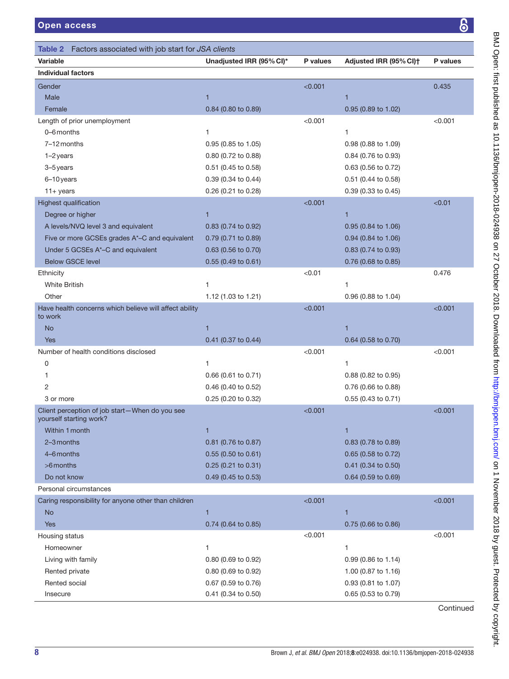<span id="page-7-0"></span>

| <b>Variable</b>                                                           | Unadjusted IRR (95% CI)* | P values  | Adjusted IRR (95% CI)+        | P values |
|---------------------------------------------------------------------------|--------------------------|-----------|-------------------------------|----------|
| <b>Individual factors</b>                                                 |                          |           |                               |          |
| Gender                                                                    |                          | < 0.001   |                               | 0.435    |
| Male                                                                      | $\mathbf{1}$             |           | $\mathbf{1}$                  |          |
| Female                                                                    | $0.84$ (0.80 to 0.89)    |           | $0.95(0.89 \text{ to } 1.02)$ |          |
| Length of prior unemployment                                              |                          | < 0.001   |                               | < 0.001  |
| 0-6 months                                                                | 1                        |           | 1                             |          |
| 7-12 months                                                               | 0.95 (0.85 to 1.05)      |           | 0.98 (0.88 to 1.09)           |          |
| $1-2$ years                                                               | 0.80 (0.72 to 0.88)      |           | 0.84 (0.76 to 0.93)           |          |
| 3-5 years                                                                 | 0.51 (0.45 to 0.58)      |           | 0.63 (0.56 to 0.72)           |          |
| 6-10 years                                                                | $0.39$ (0.34 to 0.44)    |           | 0.51 (0.44 to 0.58)           |          |
| $11 + years$                                                              | 0.26 (0.21 to 0.28)      |           | 0.39 (0.33 to 0.45)           |          |
| Highest qualification                                                     |                          | < 0.001   |                               | < 0.01   |
| Degree or higher                                                          | $\mathbf{1}$             |           | $\mathbf{1}$                  |          |
| A levels/NVQ level 3 and equivalent                                       | 0.83 (0.74 to 0.92)      |           | 0.95 (0.84 to 1.06)           |          |
| Five or more GCSEs grades A*-C and equivalent                             | 0.79 (0.71 to 0.89)      |           | $0.94$ (0.84 to 1.06)         |          |
| Under 5 GCSEs A*-C and equivalent                                         | 0.63 (0.56 to 0.70)      |           | 0.83 (0.74 to 0.93)           |          |
| <b>Below GSCE level</b>                                                   | 0.55 (0.49 to 0.61)      |           | 0.76 (0.68 to 0.85)           |          |
| Ethnicity                                                                 |                          | < 0.01    |                               | 0.476    |
| <b>White British</b>                                                      | 1                        |           | 1                             |          |
| Other                                                                     | 1.12 (1.03 to 1.21)      |           | 0.96 (0.88 to 1.04)           |          |
| Have health concerns which believe will affect ability<br>to work         |                          | < 0.001   |                               | < 0.001  |
| <b>No</b>                                                                 | $\mathbf{1}$             |           | $\mathbf{1}$                  |          |
| <b>Yes</b>                                                                | 0.41 (0.37 to 0.44)      |           | 0.64 (0.58 to 0.70)           |          |
| Number of health conditions disclosed                                     |                          | < 0.001   |                               | < 0.001  |
| 0                                                                         | 1                        |           | 1                             |          |
| 1                                                                         | 0.66 (0.61 to 0.71)      |           | 0.88 (0.82 to 0.95)           |          |
| 2                                                                         | 0.46 (0.40 to 0.52)      |           | 0.76 (0.66 to 0.88)           |          |
| 3 or more                                                                 | 0.25 (0.20 to 0.32)      |           | 0.55 (0.43 to 0.71)           |          |
| Client perception of job start-When do you see<br>yourself starting work? |                          | < 0.001   |                               | < 0.001  |
| Within 1 month                                                            |                          |           | $\overline{1}$                |          |
| 2-3 months                                                                | 0.81 (0.76 to 0.87)      |           | 0.83 (0.78 to 0.89)           |          |
| 4-6 months                                                                | $0.55$ (0.50 to 0.61)    |           | 0.65 (0.58 to 0.72)           |          |
| $>6$ months                                                               | 0.25(0.21 to 0.31)       |           | 0.41 (0.34 to 0.50)           |          |
| Do not know                                                               | 0.49 (0.45 to 0.53)      |           | 0.64 (0.59 to 0.69)           |          |
| Personal circumstances                                                    |                          |           |                               |          |
| Caring responsibility for anyone other than children                      |                          | < 0.001   |                               | < 0.001  |
| <b>No</b>                                                                 | $\mathbf{1}$             |           | $\mathbf{1}$                  |          |
| <b>Yes</b>                                                                | $0.74$ (0.64 to 0.85)    |           | $0.75$ (0.66 to 0.86)         |          |
| Housing status                                                            |                          | $<$ 0.001 |                               | < 0.001  |
| Homeowner                                                                 | 1                        |           | 1                             |          |
| Living with family                                                        | 0.80 (0.69 to 0.92)      |           | 0.99 (0.86 to 1.14)           |          |
| Rented private                                                            | 0.80 (0.69 to 0.92)      |           | 1.00 (0.87 to 1.16)           |          |
| Rented social                                                             | 0.67 (0.59 to 0.76)      |           | 0.93 (0.81 to 1.07)           |          |
| Insecure                                                                  | 0.41 (0.34 to 0.50)      |           | 0.65 (0.53 to 0.79)           |          |

Continued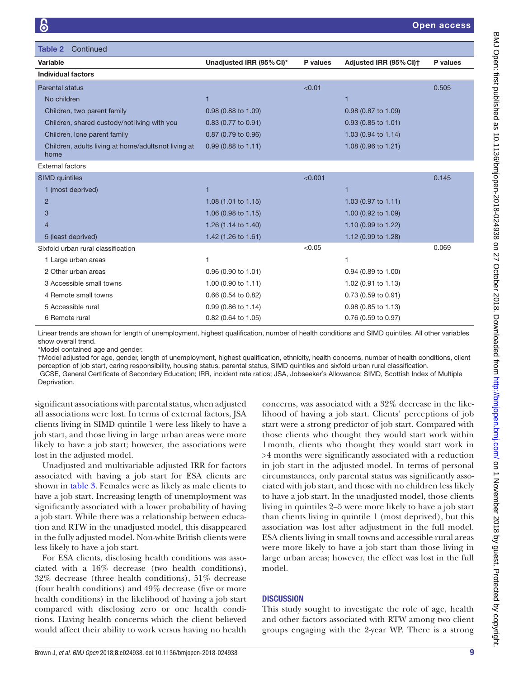| Continued<br>Table 2                                         |                          |          |                        |          |
|--------------------------------------------------------------|--------------------------|----------|------------------------|----------|
| Variable                                                     | Unadjusted IRR (95% CI)* | P values | Adjusted IRR (95% CI)+ | P values |
| <b>Individual factors</b>                                    |                          |          |                        |          |
| Parental status                                              |                          | < 0.01   |                        | 0.505    |
| No children                                                  | 1                        |          | 1                      |          |
| Children, two parent family                                  | 0.98 (0.88 to 1.09)      |          | 0.98 (0.87 to 1.09)    |          |
| Children, shared custody/not living with you                 | 0.83 (0.77 to 0.91)      |          | 0.93 (0.85 to 1.01)    |          |
| Children, lone parent family                                 | 0.87 (0.79 to 0.96)      |          | 1.03 (0.94 to 1.14)    |          |
| Children, adults living at home/adults not living at<br>home | $0.99$ (0.88 to 1.11)    |          | 1.08 (0.96 to 1.21)    |          |
| <b>External factors</b>                                      |                          |          |                        |          |
| <b>SIMD</b> quintiles                                        |                          | < 0.001  |                        | 0.145    |
| 1 (most deprived)                                            | $\overline{1}$           |          |                        |          |
| $\overline{2}$                                               | 1.08 (1.01 to 1.15)      |          | 1.03 (0.97 to 1.11)    |          |
| 3                                                            | 1.06 (0.98 to 1.15)      |          | 1.00 (0.92 to 1.09)    |          |
| $\overline{4}$                                               | 1.26 (1.14 to 1.40)      |          | 1.10 (0.99 to 1.22)    |          |
| 5 (least deprived)                                           | 1.42 (1.26 to 1.61)      |          | 1.12 (0.99 to 1.28)    |          |
| Sixfold urban rural classification                           |                          | < 0.05   |                        | 0.069    |
| 1 Large urban areas                                          | 1                        |          | 1                      |          |
| 2 Other urban areas                                          | 0.96 (0.90 to 1.01)      |          | 0.94 (0.89 to 1.00)    |          |
| 3 Accessible small towns                                     | 1.00 (0.90 to 1.11)      |          | 1.02 (0.91 to 1.13)    |          |
| 4 Remote small towns                                         | 0.66 (0.54 to 0.82)      |          | 0.73 (0.59 to 0.91)    |          |
| 5 Accessible rural                                           | 0.99 (0.86 to 1.14)      |          | 0.98 (0.85 to 1.13)    |          |
| 6 Remote rural                                               | 0.82 (0.64 to 1.05)      |          | 0.76 (0.59 to 0.97)    |          |

Linear trends are shown for length of unemployment, highest qualification, number of health conditions and SIMD quintiles. All other variables show overall trend.

\*Model contained age and gender.

†Model adjusted for age, gender, length of unemployment, highest qualification, ethnicity, health concerns, number of health conditions, client perception of job start, caring responsibility, housing status, parental status, SIMD quintiles and sixfold urban rural classification. GCSE, General Certificate of Secondary Education; IRR, incident rate ratios; JSA, Jobseeker's Allowance; SIMD, Scottish Index of Multiple Deprivation.

significant associations with parental status, when adjusted all associations were lost. In terms of external factors, JSA clients living in SIMD quintile 1 were less likely to have a job start, and those living in large urban areas were more likely to have a job start; however, the associations were lost in the adjusted model.

Unadjusted and multivariable adjusted IRR for factors associated with having a job start for ESA clients are shown in [table](#page-9-0) 3. Females were as likely as male clients to have a job start. Increasing length of unemployment was significantly associated with a lower probability of having a job start. While there was a relationship between education and RTW in the unadjusted model, this disappeared in the fully adjusted model. Non-white British clients were less likely to have a job start.

For ESA clients, disclosing health conditions was associated with a 16% decrease (two health conditions), 32% decrease (three health conditions), 51% decrease (four health conditions) and 49% decrease (five or more health conditions) in the likelihood of having a job start compared with disclosing zero or one health conditions. Having health concerns which the client believed would affect their ability to work versus having no health

concerns, was associated with a 32% decrease in the likelihood of having a job start. Clients' perceptions of job start were a strong predictor of job start. Compared with those clients who thought they would start work within 1month, clients who thought they would start work in >4 months were significantly associated with a reduction in job start in the adjusted model. In terms of personal circumstances, only parental status was significantly associated with job start, and those with no children less likely to have a job start. In the unadjusted model, those clients living in quintiles 2–5 were more likely to have a job start than clients living in quintile 1 (most deprived), but this association was lost after adjustment in the full model. ESA clients living in small towns and accessible rural areas were more likely to have a job start than those living in large urban areas; however, the effect was lost in the full model.

# **DISCUSSION**

This study sought to investigate the role of age, health and other factors associated with RTW among two client groups engaging with the 2-year WP. There is a strong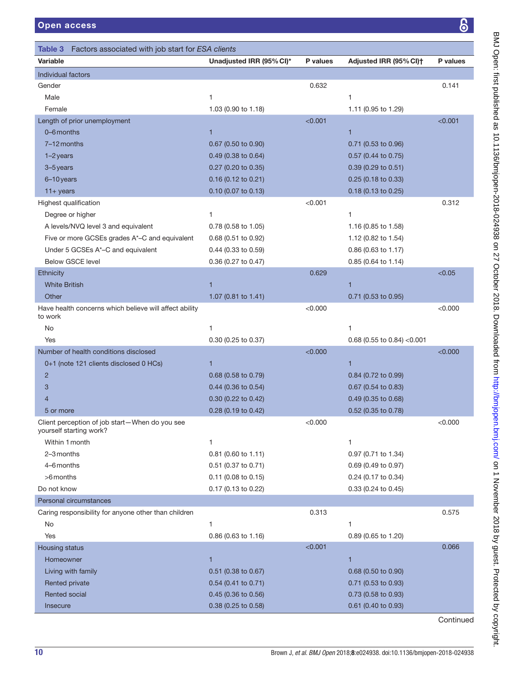<span id="page-9-0"></span>

| Factors associated with job start for ESA clients<br>Table 3              |                               |          |                             |          |  |  |
|---------------------------------------------------------------------------|-------------------------------|----------|-----------------------------|----------|--|--|
| Variable                                                                  | Unadjusted IRR (95% CI)*      | P values | Adjusted IRR (95% CI)+      | P values |  |  |
| Individual factors                                                        |                               |          |                             |          |  |  |
| Gender                                                                    |                               | 0.632    |                             | 0.141    |  |  |
| Male                                                                      | 1                             |          | 1                           |          |  |  |
| Female                                                                    | 1.03 (0.90 to 1.18)           |          | 1.11 (0.95 to 1.29)         |          |  |  |
| Length of prior unemployment                                              |                               | < 0.001  |                             | < 0.001  |  |  |
| 0-6 months                                                                | $\mathbf{1}$                  |          | $\mathbf 1$                 |          |  |  |
| 7-12 months                                                               | 0.67 (0.50 to 0.90)           |          | 0.71 (0.53 to 0.96)         |          |  |  |
| $1-2$ years                                                               | 0.49 (0.38 to 0.64)           |          | 0.57 (0.44 to 0.75)         |          |  |  |
| 3-5 years                                                                 | 0.27 (0.20 to 0.35)           |          | $0.39(0.29)$ to $0.51$ )    |          |  |  |
| 6-10 years                                                                | $0.16(0.12 \text{ to } 0.21)$ |          | 0.25 (0.18 to 0.33)         |          |  |  |
| $11 + years$                                                              | 0.10 (0.07 to 0.13)           |          | $0.18$ (0.13 to 0.25)       |          |  |  |
| Highest qualification                                                     |                               | < 0.001  |                             | 0.312    |  |  |
| Degree or higher                                                          | 1                             |          | $\mathbf{1}$                |          |  |  |
| A levels/NVQ level 3 and equivalent                                       | 0.78 (0.58 to 1.05)           |          | 1.16 (0.85 to 1.58)         |          |  |  |
| Five or more GCSEs grades A*-C and equivalent                             | 0.68 (0.51 to 0.92)           |          | 1.12 (0.82 to 1.54)         |          |  |  |
| Under 5 GCSEs A*-C and equivalent                                         | $0.44$ (0.33 to 0.59)         |          | 0.86 (0.63 to 1.17)         |          |  |  |
| <b>Below GSCE level</b>                                                   | 0.36 (0.27 to 0.47)           |          | 0.85 (0.64 to 1.14)         |          |  |  |
| Ethnicity                                                                 |                               | 0.629    |                             | < 0.05   |  |  |
| <b>White British</b>                                                      | $\mathbf{1}$                  |          | 1                           |          |  |  |
| Other                                                                     | 1.07 (0.81 to 1.41)           |          | 0.71 (0.53 to 0.95)         |          |  |  |
| Have health concerns which believe will affect ability<br>to work         |                               | < 0.000  |                             | < 0.000  |  |  |
| No                                                                        | 1                             |          | 1                           |          |  |  |
| Yes                                                                       | 0.30 (0.25 to 0.37)           |          | 0.68 (0.55 to 0.84) < 0.001 |          |  |  |
| Number of health conditions disclosed                                     |                               | < 0.000  |                             | < 0.000  |  |  |
| 0+1 (note 121 clients disclosed 0 HCs)                                    | 1                             |          | 1                           |          |  |  |
| $\overline{2}$                                                            | 0.68 (0.58 to 0.79)           |          | 0.84 (0.72 to 0.99)         |          |  |  |
| 3                                                                         | 0.44 (0.36 to 0.54)           |          | 0.67 (0.54 to 0.83)         |          |  |  |
| 4                                                                         | 0.30 (0.22 to 0.42)           |          | 0.49 (0.35 to 0.68)         |          |  |  |
| 5 or more                                                                 | 0.28 (0.19 to 0.42)           |          | 0.52 (0.35 to 0.78)         |          |  |  |
| Client perception of job start-When do you see<br>yourself starting work? |                               | < 0.000  |                             | < 0.000  |  |  |
| Within 1 month                                                            | 1                             |          | 1                           |          |  |  |
| 2-3 months                                                                | 0.81 (0.60 to 1.11)           |          | 0.97 (0.71 to 1.34)         |          |  |  |
| 4-6 months                                                                | 0.51 (0.37 to 0.71)           |          | 0.69 (0.49 to 0.97)         |          |  |  |
| $>6$ months                                                               | 0.11 (0.08 to 0.15)           |          | 0.24 (0.17 to 0.34)         |          |  |  |
| Do not know                                                               | 0.17 (0.13 to 0.22)           |          | 0.33 (0.24 to 0.45)         |          |  |  |
| Personal circumstances                                                    |                               |          |                             |          |  |  |
| Caring responsibility for anyone other than children                      |                               | 0.313    |                             | 0.575    |  |  |
| No                                                                        | 1                             |          | $\mathbf{1}$                |          |  |  |
| Yes                                                                       | 0.86 (0.63 to 1.16)           |          | 0.89 (0.65 to 1.20)         |          |  |  |
| Housing status                                                            |                               | < 0.001  |                             | 0.066    |  |  |
| Homeowner                                                                 | $\mathbf{1}$                  |          | 1                           |          |  |  |
| Living with family                                                        | 0.51 (0.38 to 0.67)           |          | 0.68 (0.50 to 0.90)         |          |  |  |
| <b>Rented private</b>                                                     | 0.54 (0.41 to 0.71)           |          | 0.71 (0.53 to 0.93)         |          |  |  |
| <b>Rented social</b>                                                      | 0.45 (0.36 to 0.56)           |          | 0.73 (0.58 to 0.93)         |          |  |  |
| Insecure                                                                  | 0.38 (0.25 to 0.58)           |          | 0.61 (0.40 to 0.93)         |          |  |  |

**Continued**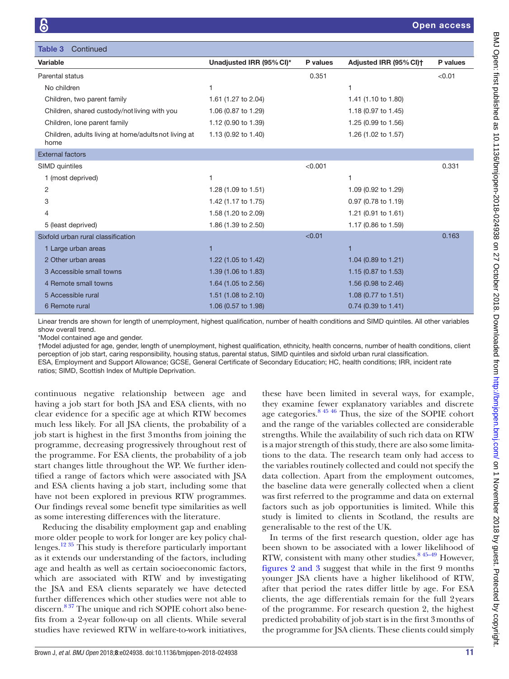| Continued<br>Table 3                                         |                          |          |                        |          |
|--------------------------------------------------------------|--------------------------|----------|------------------------|----------|
| Variable                                                     | Unadjusted IRR (95% CI)* | P values | Adjusted IRR (95% CI)+ | P values |
| <b>Parental status</b>                                       |                          | 0.351    |                        | < 0.01   |
| No children                                                  |                          |          |                        |          |
| Children, two parent family                                  | 1.61 (1.27 to 2.04)      |          | 1.41 (1.10 to 1.80)    |          |
| Children, shared custody/not living with you                 | 1.06 (0.87 to 1.29)      |          | 1.18 (0.97 to 1.45)    |          |
| Children, lone parent family                                 | 1.12 (0.90 to 1.39)      |          | 1.25 (0.99 to 1.56)    |          |
| Children, adults living at home/adults not living at<br>home | 1.13 (0.92 to 1.40)      |          | 1.26 (1.02 to 1.57)    |          |
| <b>External factors</b>                                      |                          |          |                        |          |
| SIMD quintiles                                               |                          | < 0.001  |                        | 0.331    |
| 1 (most deprived)                                            |                          |          | $\overline{1}$         |          |
| 2                                                            | 1.28 (1.09 to 1.51)      |          | 1.09 (0.92 to 1.29)    |          |
| 3                                                            | 1.42 (1.17 to 1.75)      |          | 0.97 (0.78 to 1.19)    |          |
| 4                                                            | 1.58 (1.20 to 2.09)      |          | 1.21 (0.91 to 1.61)    |          |
| 5 (least deprived)                                           | 1.86 (1.39 to 2.50)      |          | 1.17 (0.86 to 1.59)    |          |
| Sixfold urban rural classification                           |                          | < 0.01   |                        | 0.163    |
| 1 Large urban areas                                          |                          |          |                        |          |
| 2 Other urban areas                                          | 1.22 (1.05 to 1.42)      |          | 1.04 (0.89 to 1.21)    |          |
| 3 Accessible small towns                                     | 1.39 (1.06 to 1.83)      |          | 1.15 (0.87 to 1.53)    |          |
| 4 Remote small towns                                         | 1.64 (1.05 to 2.56)      |          | 1.56 (0.98 to 2.46)    |          |
| 5 Accessible rural                                           | 1.51 (1.08 to 2.10)      |          | 1.08 (0.77 to 1.51)    |          |
| 6 Remote rural                                               | 1.06 (0.57 to 1.98)      |          | $0.74$ (0.39 to 1.41)  |          |

Linear trends are shown for length of unemployment, highest qualification, number of health conditions and SIMD quintiles. All other variables show overall trend.

\*Model contained age and gender.

†Model adjusted for age, gender, length of unemployment, highest qualification, ethnicity, health concerns, number of health conditions, client perception of job start, caring responsibility, housing status, parental status, SIMD quintiles and sixfold urban rural classification. ESA, Employment and Support Allowance; GCSE, General Certificate of Secondary Education; HC, health conditions; IRR, incident rate

ratios; SIMD, Scottish Index of Multiple Deprivation.

continuous negative relationship between age and having a job start for both JSA and ESA clients, with no clear evidence for a specific age at which RTW becomes much less likely. For all JSA clients, the probability of a job start is highest in the first 3months from joining the programme, decreasing progressively throughout rest of the programme. For ESA clients, the probability of a job start changes little throughout the WP. We further identified a range of factors which were associated with JSA and ESA clients having a job start, including some that have not been explored in previous RTW programmes. Our findings reveal some benefit type similarities as well as some interesting differences with the literature.

Reducing the disability employment gap and enabling more older people to work for longer are key policy challenges.[12 35](#page-12-6) This study is therefore particularly important as it extends our understanding of the factors, including age and health as well as certain socioeconomic factors, which are associated with RTW and by investigating the JSA and ESA clients separately we have detected further differences which other studies were not able to discern.<sup>8 37</sup> The unique and rich SOPIE cohort also benefits from a 2-year follow-up on all clients. While several studies have reviewed RTW in welfare-to-work initiatives,

these have been limited in several ways, for example, they examine fewer explanatory variables and discrete age categories.<sup>8 45 46</sup> Thus, the size of the SOPIE cohort and the range of the variables collected are considerable strengths. While the availability of such rich data on RTW is a major strength of this study, there are also some limitations to the data. The research team only had access to the variables routinely collected and could not specify the data collection. Apart from the employment outcomes, the baseline data were generally collected when a client was first referred to the programme and data on external factors such as job opportunities is limited. While this study is limited to clients in Scotland, the results are generalisable to the rest of the UK.

In terms of the first research question, older age has been shown to be associated with a lower likelihood of RTW, consistent with many other studies.<sup>[8 45–49](#page-12-4)</sup> However, figures [2 and 3](#page-5-1) suggest that while in the first 9 months younger JSA clients have a higher likelihood of RTW, after that period the rates differ little by age. For ESA clients, the age differentials remain for the full 2years of the programme. For research question 2, the highest predicted probability of job start is in the first 3months of the programme for JSA clients. These clients could simply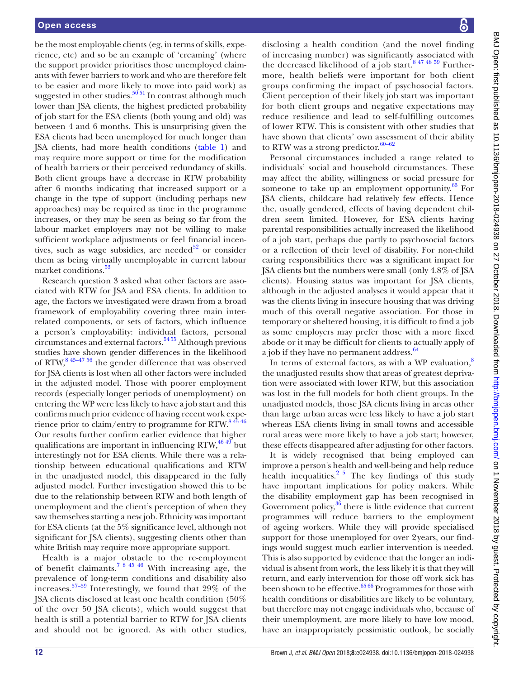be the most employable clients (eg, in terms of skills, experience, etc) and so be an example of 'creaming' (where the support provider prioritises those unemployed claimants with fewer barriers to work and who are therefore felt to be easier and more likely to move into paid work) as suggested in other studies.<sup>[50 51](#page-13-20)</sup> In contrast although much lower than JSA clients, the highest predicted probability of job start for the ESA clients (both young and old) was between 4 and 6 months. This is unsurprising given the ESA clients had been unemployed for much longer than JSA clients, had more health conditions ([table](#page-3-0) 1) and may require more support or time for the modification of health barriers or their perceived redundancy of skills. Both client groups have a decrease in RTW probability after 6 months indicating that increased support or a change in the type of support (including perhaps new approaches) may be required as time in the programme increases, or they may be seen as being so far from the labour market employers may not be willing to make sufficient workplace adjustments or feel financial incentives, such as wage subsidies, are needed $52$  or consider them as being virtually unemployable in current labour market conditions.<sup>53</sup>

Research question 3 asked what other factors are associated with RTW for JSA and ESA clients. In addition to age, the factors we investigated were drawn from a broad framework of employability covering three main interrelated components, or sets of factors, which influence a person's employability: individual factors, personal circumstances and external factors.<sup>5455</sup> Although previous studies have shown gender differences in the likelihood of RTW, $8\frac{45-47}{56}$  the gender difference that was observed for JSA clients is lost when all other factors were included in the adjusted model. Those with poorer employment records (especially longer periods of unemployment) on entering the WP were less likely to have a job start and this confirms much prior evidence of having recent work experience prior to claim/entry to programme for RTW.<sup>8 45 46</sup> Our results further confirm earlier evidence that higher qualifications are important in influencing RTW, <sup>46 49</sup> but interestingly not for ESA clients. While there was a relationship between educational qualifications and RTW in the unadjusted model, this disappeared in the fully adjusted model. Further investigation showed this to be due to the relationship between RTW and both length of unemployment and the client's perception of when they saw themselves starting a new job. Ethnicity was important for ESA clients (at the 5% significance level, although not significant for JSA clients), suggesting clients other than white British may require more appropriate support.

Health is a major obstacle to the re-employment of benefit claimants.<sup>7 8 45 46</sup> With increasing age, the prevalence of long-term conditions and disability also increases.<sup>57–59</sup> Interestingly, we found that 29% of the JSA clients disclosed at least one health condition (50% of the over 50 JSA clients), which would suggest that health is still a potential barrier to RTW for JSA clients and should not be ignored. As with other studies,

BMJ Open: first published as 10.1136/bmjopen-2018-024938 on 27 October 2018. Downloaded from http://bmjopen.bmj.com/ on 1 November 2018 by guest. Protected by copyright BMJ Open: first published as 10.1136/bmjopen-2018-0218 on 27 October 2018. Downloaded from <http://bmjopen.bmj.com/> on 11 Novemed as 10.1415/bmjopen. Protected by copyright.

disclosing a health condition (and the novel finding of increasing number) was significantly associated with the decreased likelihood of a job start.<sup>8 47 48 59</sup> Furthermore, health beliefs were important for both client groups confirming the impact of psychosocial factors. Client perception of their likely job start was important for both client groups and negative expectations may reduce resilience and lead to self-fulfilling outcomes of lower RTW. This is consistent with other studies that have shown that clients' own assessment of their ability to RTW was a strong predictor. $60-62$ 

Personal circumstances included a range related to individuals' social and household circumstances. These may affect the ability, willingness or social pressure for someone to take up an employment opportunity. $63$  For JSA clients, childcare had relatively few effects. Hence the, usually gendered, effects of having dependent children seem limited. However, for ESA clients having parental responsibilities actually increased the likelihood of a job start, perhaps due partly to psychosocial factors or a reflection of their level of disability. For non-child caring responsibilities there was a significant impact for JSA clients but the numbers were small (only 4.8% of JSA clients). Housing status was important for JSA clients, although in the adjusted analyses it would appear that it was the clients living in insecure housing that was driving much of this overall negative association. For those in temporary or sheltered housing, it is difficult to find a job as some employers may prefer those with a more fixed abode or it may be difficult for clients to actually apply of a job if they have no permanent address.  $64$ 

In terms of external factors, as with a WP evaluation, $\frac{8}{3}$ the unadjusted results show that areas of greatest deprivation were associated with lower RTW, but this association was lost in the full models for both client groups. In the unadjusted models, those JSA clients living in areas other than large urban areas were less likely to have a job start whereas ESA clients living in small towns and accessible rural areas were more likely to have a job start; however, these effects disappeared after adjusting for other factors.

It is widely recognised that being employed can improve a person's health and well-being and help reduce health inequalities. $25$  The key findings of this study have important implications for policy makers. While the disability employment gap has been recognised in Government policy, $36$  there is little evidence that current programmes will reduce barriers to the employment of ageing workers. While they will provide specialised support for those unemployed for over 2years, our findings would suggest much earlier intervention is needed. This is also supported by evidence that the longer an individual is absent from work, the less likely it is that they will return, and early intervention for those off work sick has been shown to be effective.<sup>[65 66](#page-13-29)</sup> Programmes for those with health conditions or disabilities are likely to be voluntary, but therefore may not engage individuals who, because of their unemployment, are more likely to have low mood, have an inappropriately pessimistic outlook, be socially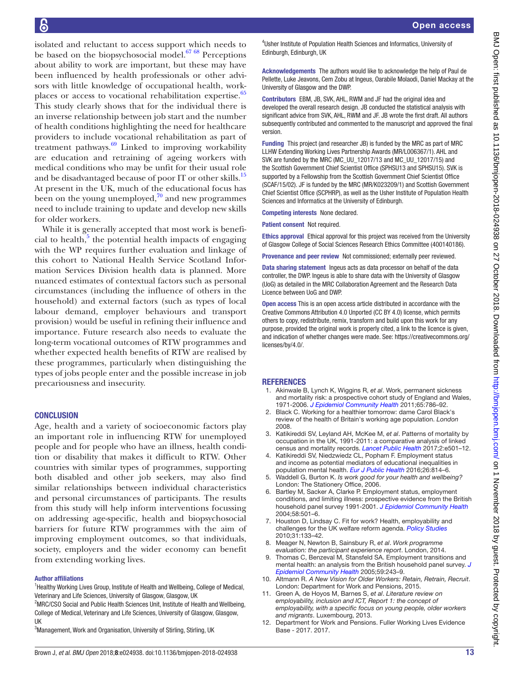isolated and reluctant to access support which needs to be based on the biopsychosocial model. $67\,68$  Perceptions about ability to work are important, but these may have been influenced by health professionals or other advisors with little knowledge of occupational health, workplaces or access to vocational rehabilitation expertise.<sup>65</sup> This study clearly shows that for the individual there is an inverse relationship between job start and the number of health conditions highlighting the need for healthcare providers to include vocational rehabilitation as part of treatment pathways. $\frac{69}{2}$  Linked to improving workability are education and retraining of ageing workers with medical conditions who may be unfit for their usual role and be disadvantaged because of poor IT or other skills.<sup>[15](#page-13-32)</sup> At present in the UK, much of the educational focus has been on the young unemployed, $\frac{70}{2}$  $\frac{70}{2}$  $\frac{70}{2}$  and new programmes need to include training to update and develop new skills for older workers.

While it is generally accepted that most work is beneficial to health, $5$  the potential health impacts of engaging with the WP requires further evaluation and linkage of this cohort to National Health Service Scotland Information Services Division health data is planned. More nuanced estimates of contextual factors such as personal circumstances (including the influence of others in the household) and external factors (such as types of local labour demand, employer behaviours and transport provision) would be useful in refining their influence and importance. Future research also needs to evaluate the long-term vocational outcomes of RTW programmes and whether expected health benefits of RTW are realised by these programmes, particularly when distinguishing the types of jobs people enter and the possible increase in job precariousness and insecurity.

# **CONCLUSION**

Age, health and a variety of socioeconomic factors play an important role in influencing RTW for unemployed people and for people who have an illness, health condition or disability that makes it difficult to RTW. Other countries with similar types of programmes, supporting both disabled and other job seekers, may also find similar relationships between individual characteristics and personal circumstances of participants. The results from this study will help inform interventions focussing on addressing age-specific, health and biopsychosocial barriers for future RTW programmes with the aim of improving employment outcomes, so that individuals, society, employers and the wider economy can benefit from extending working lives.

#### Author affiliations

<sup>1</sup> Healthy Working Lives Group, Institute of Health and Wellbeing, College of Medical, Veterinary and Life Sciences, University of Glasgow, Glasgow, UK

<sup>2</sup>MRC/CSO Social and Public Health Sciences Unit, Institute of Health and Wellbeing, College of Medical, Veterinary and Life Sciences, University of Glasgow, Glasgow, UK

<sup>3</sup>Management, Work and Organisation, University of Stirling, Stirling, UK

4 Usher Institute of Population Health Sciences and Informatics, University of Edinburgh, Edinburgh, UK

Acknowledgements The authors would like to acknowledge the help of Paul de Pellette, Luke Jeavons, Cem Zobu at Ingeus, Oarabile Molaodi, Daniel Mackay at the University of Glasgow and the DWP.

Contributors EBM, JB, SVK, AHL, RWM and JF had the original idea and developed the overall research design. JB conducted the statistical analysis with significant advice from SVK, AHL, RWM and JF. JB wrote the first draft. All authors subsequently contributed and commented to the manuscript and approved the final version.

Funding This project (and researcher JB) is funded by the MRC as part of MRC LLHW Extending Working Lives Partnership Awards (MR/L006367/1). AHL and SVK are funded by the MRC (MC\_UU\_12017/13 and MC\_UU\_12017/15) and the Scottish Government Chief Scientist Office (SPHSU13 and SPHSU15). SVK is supported by a Fellowship from the Scottish Government Chief Scientist Office (SCAF/15/02). JF is funded by the MRC (MR/K023209/1) and Scottish Government Chief Scientist Office (SCPHRP), as well as the Usher Institute of Population Health Sciences and Informatics at the University of Edinburgh.

Competing interests None declared.

Patient consent Not required.

Ethics approval Ethical approval for this project was received from the University of Glasgow College of Social Sciences Research Ethics Committee (400140186).

Provenance and peer review Not commissioned; externally peer reviewed.

Data sharing statement Ingeus acts as data processor on behalf of the data controller, the DWP. Ingeus is able to share data with the University of Glasgow (UoG) as detailed in the MRC Collaboration Agreement and the Research Data Licence between UoG and DWP.

Open access This is an open access article distributed in accordance with the Creative Commons Attribution 4.0 Unported (CC BY 4.0) license, which permits others to copy, redistribute, remix, transform and build upon this work for any purpose, provided the original work is properly cited, a link to the licence is given, and indication of whether changes were made. See: [https://creativecommons.org/](https://creativecommons.org/licenses/by/4.0/) [licenses/by/4.0/](https://creativecommons.org/licenses/by/4.0/).

#### **REFERENCES**

- <span id="page-12-0"></span>1. Akinwale B, Lynch K, Wiggins R, *et al*. Work, permanent sickness and mortality risk: a prospective cohort study of England and Wales, 1971-2006. *[J Epidemiol Community Health](http://dx.doi.org/10.1136/jech.2009.099325)* 2011;65:786–92.
- <span id="page-12-8"></span>2. Black C. Working for a healthier tomorrow: dame Carol Black's review of the health of Britain's working age population. *London* 2008.
- 3. Katikireddi SV, Leyland AH, McKee M, *et al*. Patterns of mortality by occupation in the UK, 1991-2011: a comparative analysis of linked census and mortality records. *[Lancet Public Health](http://dx.doi.org/10.1016/S2468-2667(17)30193-7)* 2017;2:e501–12.
- 4. Katikireddi SV, Niedzwiedz CL, Popham F. Employment status and income as potential mediators of educational inequalities in population mental health. *[Eur J Public Health](http://dx.doi.org/10.1093/eurpub/ckw126)* 2016;26:814–6.
- <span id="page-12-5"></span>5. Waddell G, Burton K. *Is work good for your health and wellbeing?* London: The Stationery Office, 2006.
- <span id="page-12-1"></span>6. Bartley M, Sacker A, Clarke P. Employment status, employment conditions, and limiting illness: prospective evidence from the British household panel survey 1991-2001. *[J Epidemiol Community Health](http://dx.doi.org/10.1136/jech.2003.009878)* 2004;58:501–6.
- <span id="page-12-7"></span>7. Houston D, Lindsay C. Fit for work? Health, employability and challenges for the UK welfare reform agenda. *[Policy Studies](http://dx.doi.org/10.1080/01442870903429595)* 2010;31:133–42.
- <span id="page-12-4"></span>8. Meager N, Newton B, Sainsbury R, *et al*. *Work programme evaluation: the participant experience report*. London, 2014.
- 9. Thomas C, Benzeval M, Stansfeld SA. Employment transitions and mental health: an analysis from the British household panel survey. *[J](http://dx.doi.org/10.1136/jech.2004.019778)  [Epidemiol Community Health](http://dx.doi.org/10.1136/jech.2004.019778)* 2005;59:243–9.
- <span id="page-12-2"></span>10. Altmann R. *A New Vision for Older Workers: Retain, Retrain, Recruit*. London: Department for Work and Pensions, 2015.
- <span id="page-12-3"></span>11. Green A, de Hoyos M, Barnes S, *et al*. *Literature review on employability, inclusion and ICT, Report 1: the concept of employability, with a specific focus on young people, older workers and migrants*. Luxembourg, 2013.
- <span id="page-12-6"></span>12. Department for Work and Pensions. Fuller Working Lives Evidence Base - 2017. 2017.